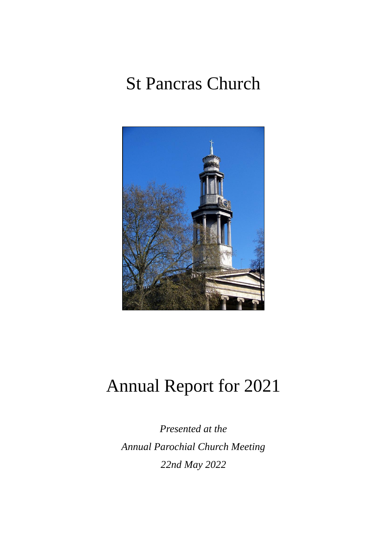# St Pancras Church



# Annual Report for 2021

*Presented at the Annual Parochial Church Meeting 22nd May 2022*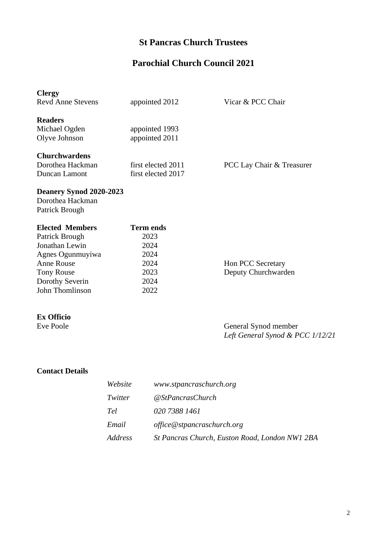## **St Pancras Church Trustees**

## **Parochial Church Council 2021**

| <b>Clergy</b><br><b>Revd Anne Stevens</b>                     | appointed 2012                           | Vicar & PCC Chair                                        |
|---------------------------------------------------------------|------------------------------------------|----------------------------------------------------------|
| <b>Readers</b><br>Michael Ogden<br>Olyve Johnson              | appointed 1993<br>appointed 2011         |                                                          |
| <b>Churchwardens</b><br>Dorothea Hackman<br>Duncan Lamont     | first elected 2011<br>first elected 2017 | PCC Lay Chair & Treasurer                                |
| Deanery Synod 2020-2023<br>Dorothea Hackman<br>Patrick Brough |                                          |                                                          |
|                                                               |                                          |                                                          |
| <b>Elected Members</b>                                        | <b>Term ends</b>                         |                                                          |
| Patrick Brough                                                | 2023                                     |                                                          |
| Jonathan Lewin                                                | 2024                                     |                                                          |
| Agnes Ogunmuyiwa                                              | 2024                                     |                                                          |
| <b>Anne Rouse</b>                                             | 2024                                     | Hon PCC Secretary                                        |
| <b>Tony Rouse</b>                                             | 2023                                     | Deputy Churchwarden                                      |
| Dorothy Severin                                               | 2024                                     |                                                          |
| John Thomlinson                                               | 2022                                     |                                                          |
| <b>Ex Officio</b>                                             |                                          |                                                          |
| Eve Poole                                                     |                                          | General Synod member<br>Left General Synod & PCC 1/12/21 |

## **Contact Details**

| Website | www.stpancraschurch.org                        |
|---------|------------------------------------------------|
| Twitter | @StPancrasChurch                               |
| Tel     | 020 7388 1461                                  |
| Email   | office@stpancraschurch.org                     |
| Address | St Pancras Church, Euston Road, London NW1 2BA |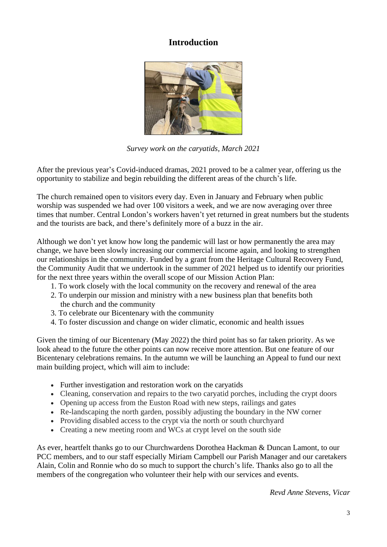## **Introduction**



*Survey work on the caryatids, March 2021*

After the previous year's Covid-induced dramas, 2021 proved to be a calmer year, offering us the opportunity to stabilize and begin rebuilding the different areas of the church's life.

The church remained open to visitors every day. Even in January and February when public worship was suspended we had over 100 visitors a week, and we are now averaging over three times that number. Central London's workers haven't yet returned in great numbers but the students and the tourists are back, and there's definitely more of a buzz in the air.

Although we don't yet know how long the pandemic will last or how permanently the area may change, we have been slowly increasing our commercial income again, and looking to strengthen our relationships in the community. Funded by a grant from the Heritage Cultural Recovery Fund, the Community Audit that we undertook in the summer of 2021 helped us to identify our priorities for the next three years within the overall scope of our Mission Action Plan:

- 1. To work closely with the local community on the recovery and renewal of the area
- 2. To underpin our mission and ministry with a new business plan that benefits both the church and the community
- 3. To celebrate our Bicentenary with the community
- 4. To foster discussion and change on wider climatic, economic and health issues

Given the timing of our Bicentenary (May 2022) the third point has so far taken priority. As we look ahead to the future the other points can now receive more attention. But one feature of our Bicentenary celebrations remains. In the autumn we will be launching an Appeal to fund our next main building project, which will aim to include:

- Further investigation and restoration work on the caryatids
- Cleaning, conservation and repairs to the two caryatid porches, including the crypt doors
- Opening up access from the Euston Road with new steps, railings and gates
- Re-landscaping the north garden, possibly adjusting the boundary in the NW corner
- Providing disabled access to the crypt via the north or south churchyard
- Creating a new meeting room and WCs at crypt level on the south side

As ever, heartfelt thanks go to our Churchwardens Dorothea Hackman & Duncan Lamont, to our PCC members, and to our staff especially Miriam Campbell our Parish Manager and our caretakers Alain, Colin and Ronnie who do so much to support the church's life. Thanks also go to all the members of the congregation who volunteer their help with our services and events.

*Revd Anne Stevens, Vicar*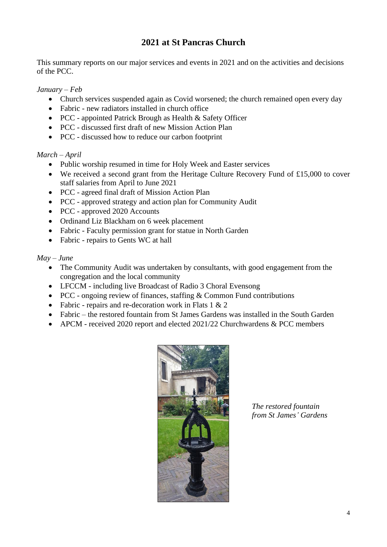## **2021 at St Pancras Church**

This summary reports on our major services and events in 2021 and on the activities and decisions of the PCC.

#### *January – Feb*

- Church services suspended again as Covid worsened; the church remained open every day
- Fabric new radiators installed in church office
- PCC appointed Patrick Brough as Health & Safety Officer
- PCC discussed first draft of new Mission Action Plan
- PCC discussed how to reduce our carbon footprint

#### *March – April*

- Public worship resumed in time for Holy Week and Easter services
- We received a second grant from the Heritage Culture Recovery Fund of £15,000 to cover staff salaries from April to June 2021
- PCC agreed final draft of Mission Action Plan
- PCC approved strategy and action plan for Community Audit
- PCC approved 2020 Accounts
- Ordinand Liz Blackham on 6 week placement
- Fabric Faculty permission grant for statue in North Garden
- Fabric repairs to Gents WC at hall

#### *May – June*

- The Community Audit was undertaken by consultants, with good engagement from the congregation and the local community
- LFCCM including live Broadcast of Radio 3 Choral Evensong
- PCC ongoing review of finances, staffing & Common Fund contributions
- Fabric repairs and re-decoration work in Flats 1 & 2
- Fabric the restored fountain from St James Gardens was installed in the South Garden
- APCM received 2020 report and elected 2021/22 Churchwardens & PCC members



*The restored fountain from St James' Gardens*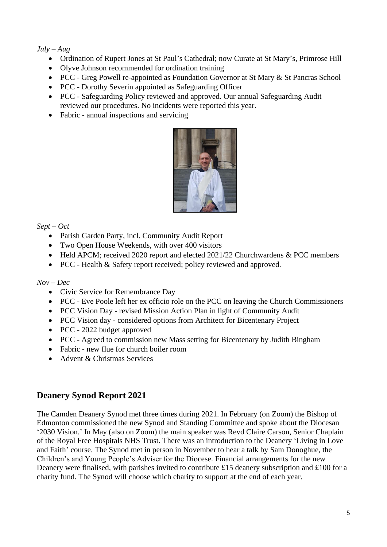#### *July – Aug*

- Ordination of Rupert Jones at St Paul's Cathedral; now Curate at St Mary's, Primrose Hill
- Olyve Johnson recommended for ordination training
- PCC Greg Powell re-appointed as Foundation Governor at St Mary & St Pancras School
- PCC Dorothy Severin appointed as Safeguarding Officer
- PCC Safeguarding Policy reviewed and approved. Our annual Safeguarding Audit reviewed our procedures. No incidents were reported this year.
- Fabric annual inspections and servicing



*Sept – Oct*

- Parish Garden Party, incl. Community Audit Report
- Two Open House Weekends, with over 400 visitors
- Held APCM; received 2020 report and elected 2021/22 Churchwardens & PCC members
- PCC Health & Safety report received; policy reviewed and approved.

#### *Nov – Dec*

- Civic Service for Remembrance Day
- PCC Eve Poole left her ex officio role on the PCC on leaving the Church Commissioners
- PCC Vision Day revised Mission Action Plan in light of Community Audit
- PCC Vision day considered options from Architect for Bicentenary Project
- PCC 2022 budget approved
- PCC Agreed to commission new Mass setting for Bicentenary by Judith Bingham
- Fabric new flue for church boiler room
- Advent & Christmas Services

### **Deanery Synod Report 2021**

The Camden Deanery Synod met three times during 2021. In February (on Zoom) the Bishop of Edmonton commissioned the new Synod and Standing Committee and spoke about the Diocesan '2030 Vision.' In May (also on Zoom) the main speaker was Revd Claire Carson, Senior Chaplain of the Royal Free Hospitals NHS Trust. There was an introduction to the Deanery 'Living in Love and Faith' course. The Synod met in person in November to hear a talk by Sam Donoghue, the Children's and Young People's Adviser for the Diocese. Financial arrangements for the new Deanery were finalised, with parishes invited to contribute £15 deanery subscription and £100 for a charity fund. The Synod will choose which charity to support at the end of each year.